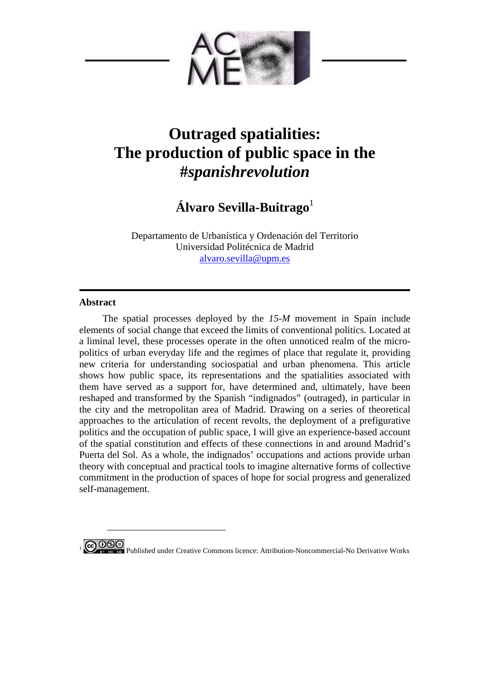

# **Outraged spatialities: The production of public space in the #***spanishrevolution*

# **Álvaro Sevilla-Buitrago**<sup>1</sup>

Departamento de Urbanística y Ordenación del Territorio Universidad Politécnica de Madrid alvaro.sevilla@upm.es

## **Abstract**

The spatial processes deployed by the *15-M* movement in Spain include elements of social change that exceed the limits of conventional politics. Located at a liminal level, these processes operate in the often unnoticed realm of the micropolitics of urban everyday life and the regimes of place that regulate it, providing new criteria for understanding sociospatial and urban phenomena. This article shows how public space, its representations and the spatialities associated with them have served as a support for, have determined and, ultimately, have been reshaped and transformed by the Spanish "indignados" (outraged), in particular in the city and the metropolitan area of Madrid. Drawing on a series of theoretical approaches to the articulation of recent revolts, the deployment of a prefigurative politics and the occupation of public space, I will give an experience-based account of the spatial constitution and effects of these connections in and around Madrid's Puerta del Sol. As a whole, the indignados' occupations and actions provide urban theory with conceptual and practical tools to imagine alternative forms of collective commitment in the production of spaces of hope for social progress and generalized self-management.



 $\overline{a}$ 

**6 DSO**<br>**1 Published under Creative Commons licence: Attribution-Noncommercial-No Derivative Works**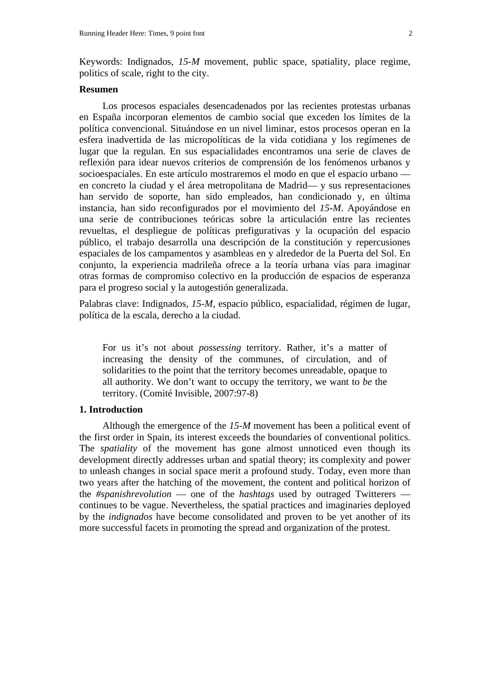Keywords: Indignados, *15-M* movement, public space, spatiality, place regime, politics of scale, right to the city.

#### **Resumen**

Los procesos espaciales desencadenados por las recientes protestas urbanas en España incorporan elementos de cambio social que exceden los límites de la política convencional. Situándose en un nivel liminar, estos procesos operan en la esfera inadvertida de las micropolíticas de la vida cotidiana y los regímenes de lugar que la regulan. En sus espacialidades encontramos una serie de claves de reflexión para idear nuevos criterios de comprensión de los fenómenos urbanos y socioespaciales. En este artículo mostraremos el modo en que el espacio urbano en concreto la ciudad y el área metropolitana de Madrid— y sus representaciones han servido de soporte, han sido empleados, han condicionado y, en última instancia, han sido reconfigurados por el movimiento del *15-M*. Apoyándose en una serie de contribuciones teóricas sobre la articulación entre las recientes revueltas, el despliegue de políticas prefigurativas y la ocupación del espacio público, el trabajo desarrolla una descripción de la constitución y repercusiones espaciales de los campamentos y asambleas en y alrededor de la Puerta del Sol. En conjunto, la experiencia madrileña ofrece a la teoría urbana vías para imaginar otras formas de compromiso colectivo en la producción de espacios de esperanza para el progreso social y la autogestión generalizada.

Palabras clave: Indignados, *15-M*, espacio público, espacialidad, régimen de lugar, política de la escala, derecho a la ciudad.

For us it's not about *possessing* territory. Rather, it's a matter of increasing the density of the communes, of circulation, and of solidarities to the point that the territory becomes unreadable, opaque to all authority. We don't want to occupy the territory, we want to *be* the territory. (Comité Invisible, 2007:97-8)

### **1. Introduction**

Although the emergence of the *15-M* movement has been a political event of the first order in Spain, its interest exceeds the boundaries of conventional politics. The *spatiality* of the movement has gone almost unnoticed even though its development directly addresses urban and spatial theory; its complexity and power to unleash changes in social space merit a profound study. Today, even more than two years after the hatching of the movement, the content and political horizon of the *#spanishrevolution* — one of the *hashtags* used by outraged Twitterers continues to be vague. Nevertheless, the spatial practices and imaginaries deployed by the *indignados* have become consolidated and proven to be yet another of its more successful facets in promoting the spread and organization of the protest.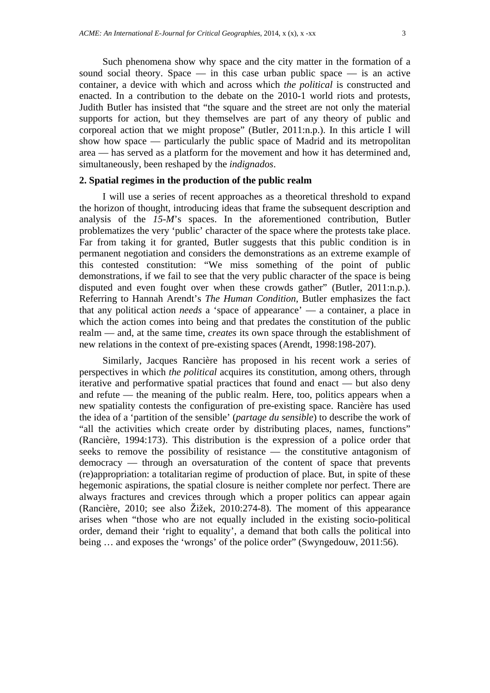Such phenomena show why space and the city matter in the formation of a sound social theory. Space — in this case urban public space — is an active container, a device with which and across which *the political* is constructed and enacted. In a contribution to the debate on the 2010-1 world riots and protests, Judith Butler has insisted that "the square and the street are not only the material supports for action, but they themselves are part of any theory of public and corporeal action that we might propose" (Butler, 2011:n.p.). In this article I will show how space — particularly the public space of Madrid and its metropolitan area — has served as a platform for the movement and how it has determined and, simultaneously, been reshaped by the *indignados*.

## **2. Spatial regimes in the production of the public realm**

I will use a series of recent approaches as a theoretical threshold to expand the horizon of thought, introducing ideas that frame the subsequent description and analysis of the *15-M*'s spaces. In the aforementioned contribution, Butler problematizes the very 'public' character of the space where the protests take place. Far from taking it for granted, Butler suggests that this public condition is in permanent negotiation and considers the demonstrations as an extreme example of this contested constitution: "We miss something of the point of public demonstrations, if we fail to see that the very public character of the space is being disputed and even fought over when these crowds gather" (Butler, 2011:n.p.). Referring to Hannah Arendt's *The Human Condition*, Butler emphasizes the fact that any political action *needs* a 'space of appearance' — a container, a place in which the action comes into being and that predates the constitution of the public realm — and, at the same time, *creates* its own space through the establishment of new relations in the context of pre-existing spaces (Arendt, 1998:198-207).

Similarly, Jacques Rancière has proposed in his recent work a series of perspectives in which *the political* acquires its constitution, among others, through iterative and performative spatial practices that found and enact — but also deny and refute — the meaning of the public realm. Here, too, politics appears when a new spatiality contests the configuration of pre-existing space. Rancière has used the idea of a 'partition of the sensible' (*partage du sensible*) to describe the work of "all the activities which create order by distributing places, names, functions" (Rancière, 1994:173). This distribution is the expression of a police order that seeks to remove the possibility of resistance — the constitutive antagonism of democracy — through an oversaturation of the content of space that prevents (re)appropriation: a totalitarian regime of production of place. But, in spite of these hegemonic aspirations, the spatial closure is neither complete nor perfect. There are always fractures and crevices through which a proper politics can appear again (Rancière, 2010; see also Žižek, 2010:274-8). The moment of this appearance arises when "those who are not equally included in the existing socio-political order, demand their 'right to equality', a demand that both calls the political into being … and exposes the 'wrongs' of the police order" (Swyngedouw, 2011:56).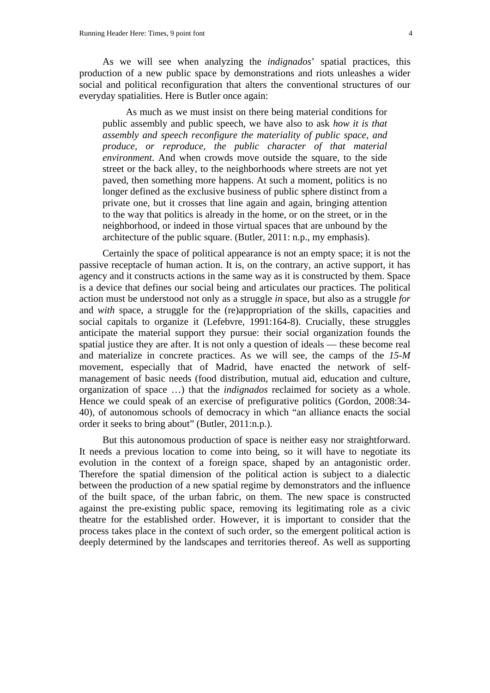As we will see when analyzing the *indignados*' spatial practices, this production of a new public space by demonstrations and riots unleashes a wider social and political reconfiguration that alters the conventional structures of our everyday spatialities. Here is Butler once again:

As much as we must insist on there being material conditions for public assembly and public speech, we have also to ask *how it is that assembly and speech reconfigure the materiality of public space, and produce, or reproduce, the public character of that material environment*. And when crowds move outside the square, to the side street or the back alley, to the neighborhoods where streets are not yet paved, then something more happens. At such a moment, politics is no longer defined as the exclusive business of public sphere distinct from a private one, but it crosses that line again and again, bringing attention to the way that politics is already in the home, or on the street, or in the neighborhood, or indeed in those virtual spaces that are unbound by the architecture of the public square. (Butler, 2011: n.p., my emphasis).

Certainly the space of political appearance is not an empty space; it is not the passive receptacle of human action. It is, on the contrary, an active support, it has agency and it constructs actions in the same way as it is constructed by them. Space is a device that defines our social being and articulates our practices. The political action must be understood not only as a struggle *in* space, but also as a struggle *for* and *with* space, a struggle for the (re)appropriation of the skills, capacities and social capitals to organize it (Lefebvre, 1991:164-8). Crucially, these struggles anticipate the material support they pursue: their social organization founds the spatial justice they are after. It is not only a question of ideals — these become real and materialize in concrete practices. As we will see, the camps of the *15-M* movement, especially that of Madrid, have enacted the network of selfmanagement of basic needs (food distribution, mutual aid, education and culture, organization of space …) that the *indignados* reclaimed for society as a whole. Hence we could speak of an exercise of prefigurative politics (Gordon, 2008:34- 40), of autonomous schools of democracy in which "an alliance enacts the social order it seeks to bring about" (Butler, 2011:n.p.).

But this autonomous production of space is neither easy nor straightforward. It needs a previous location to come into being, so it will have to negotiate its evolution in the context of a foreign space, shaped by an antagonistic order. Therefore the spatial dimension of the political action is subject to a dialectic between the production of a new spatial regime by demonstrators and the influence of the built space, of the urban fabric, on them. The new space is constructed against the pre-existing public space, removing its legitimating role as a civic theatre for the established order. However, it is important to consider that the process takes place in the context of such order, so the emergent political action is deeply determined by the landscapes and territories thereof. As well as supporting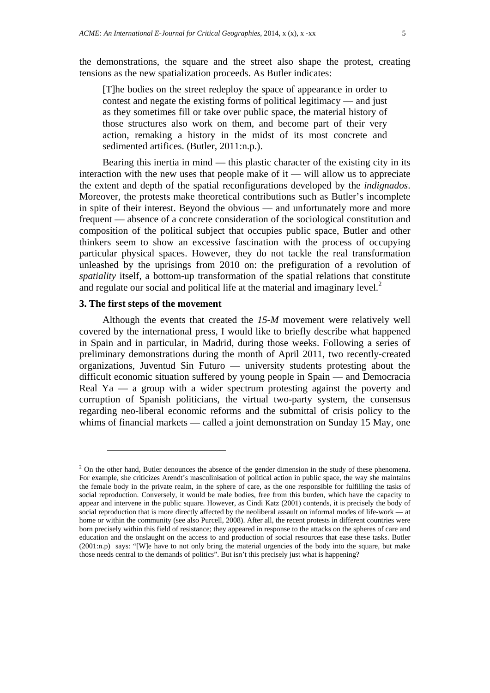the demonstrations, the square and the street also shape the protest, creating tensions as the new spatialization proceeds. As Butler indicates:

[T]he bodies on the street redeploy the space of appearance in order to contest and negate the existing forms of political legitimacy — and just as they sometimes fill or take over public space, the material history of those structures also work on them, and become part of their very action, remaking a history in the midst of its most concrete and sedimented artifices. (Butler, 2011:n.p.).

Bearing this inertia in mind — this plastic character of the existing city in its interaction with the new uses that people make of it — will allow us to appreciate the extent and depth of the spatial reconfigurations developed by the *indignados*. Moreover, the protests make theoretical contributions such as Butler's incomplete in spite of their interest. Beyond the obvious — and unfortunately more and more frequent — absence of a concrete consideration of the sociological constitution and composition of the political subject that occupies public space, Butler and other thinkers seem to show an excessive fascination with the process of occupying particular physical spaces. However, they do not tackle the real transformation unleashed by the uprisings from 2010 on: the prefiguration of a revolution of *spatiality* itself, a bottom-up transformation of the spatial relations that constitute and regulate our social and political life at the material and imaginary level. $<sup>2</sup>$ </sup>

#### **3. The first steps of the movement**

 $\overline{a}$ 

Although the events that created the *15-M* movement were relatively well covered by the international press, I would like to briefly describe what happened in Spain and in particular, in Madrid, during those weeks. Following a series of preliminary demonstrations during the month of April 2011, two recently-created organizations, Juventud Sin Futuro — university students protesting about the difficult economic situation suffered by young people in Spain — and Democracia Real  $Ya - a$  group with a wider spectrum protesting against the poverty and corruption of Spanish politicians, the virtual two-party system, the consensus regarding neo-liberal economic reforms and the submittal of crisis policy to the whims of financial markets — called a joint demonstration on Sunday 15 May, one

 $<sup>2</sup>$  On the other hand, Butler denounces the absence of the gender dimension in the study of these phenomena.</sup> For example, she criticizes Arendt's masculinisation of political action in public space, the way she maintains the female body in the private realm, in the sphere of care, as the one responsible for fulfilling the tasks of social reproduction. Conversely, it would be male bodies, free from this burden, which have the capacity to appear and intervene in the public square. However, as Cindi Katz (2001) contends, it is precisely the body of social reproduction that is more directly affected by the neoliberal assault on informal modes of life-work — at home or within the community (see also Purcell, 2008). After all, the recent protests in different countries were born precisely within this field of resistance; they appeared in response to the attacks on the spheres of care and education and the onslaught on the access to and production of social resources that ease these tasks. Butler (2001:n.p) says: "[W]e have to not only bring the material urgencies of the body into the square, but make those needs central to the demands of politics". But isn't this precisely just what is happening?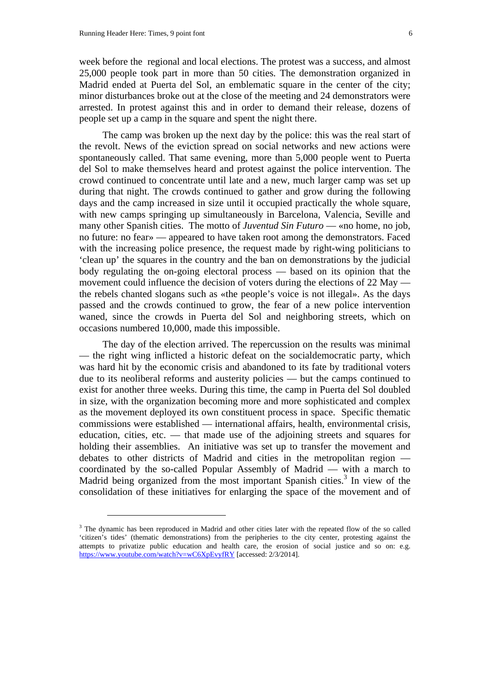$\overline{a}$ 

week before the regional and local elections. The protest was a success, and almost 25,000 people took part in more than 50 cities. The demonstration organized in Madrid ended at Puerta del Sol, an emblematic square in the center of the city; minor disturbances broke out at the close of the meeting and 24 demonstrators were arrested. In protest against this and in order to demand their release, dozens of people set up a camp in the square and spent the night there.

The camp was broken up the next day by the police: this was the real start of the revolt. News of the eviction spread on social networks and new actions were spontaneously called. That same evening, more than 5,000 people went to Puerta del Sol to make themselves heard and protest against the police intervention. The crowd continued to concentrate until late and a new, much larger camp was set up during that night. The crowds continued to gather and grow during the following days and the camp increased in size until it occupied practically the whole square, with new camps springing up simultaneously in Barcelona, Valencia, Seville and many other Spanish cities. The motto of *Juventud Sin Futuro* — «no home, no job, no future: no fear» — appeared to have taken root among the demonstrators. Faced with the increasing police presence, the request made by right-wing politicians to 'clean up' the squares in the country and the ban on demonstrations by the judicial body regulating the on-going electoral process — based on its opinion that the movement could influence the decision of voters during the elections of 22 May the rebels chanted slogans such as «the people's voice is not illegal». As the days passed and the crowds continued to grow, the fear of a new police intervention waned, since the crowds in Puerta del Sol and neighboring streets, which on occasions numbered 10,000, made this impossible.

The day of the election arrived. The repercussion on the results was minimal — the right wing inflicted a historic defeat on the socialdemocratic party, which was hard hit by the economic crisis and abandoned to its fate by traditional voters due to its neoliberal reforms and austerity policies — but the camps continued to exist for another three weeks. During this time, the camp in Puerta del Sol doubled in size, with the organization becoming more and more sophisticated and complex as the movement deployed its own constituent process in space. Specific thematic commissions were established — international affairs, health, environmental crisis, education, cities, etc. — that made use of the adjoining streets and squares for holding their assemblies. An initiative was set up to transfer the movement and debates to other districts of Madrid and cities in the metropolitan region coordinated by the so-called Popular Assembly of Madrid — with a march to Madrid being organized from the most important Spanish cities.<sup>3</sup> In view of the consolidation of these initiatives for enlarging the space of the movement and of

<sup>&</sup>lt;sup>3</sup> The dynamic has been reproduced in Madrid and other cities later with the repeated flow of the so called 'citizen's tides' (thematic demonstrations) from the peripheries to the city center, protesting against the attempts to privatize public education and health care, the erosion of social justice and so on: e.g. https://www.youtube.com/watch?v=wC6XpEvyfRY [accessed: 2/3/2014].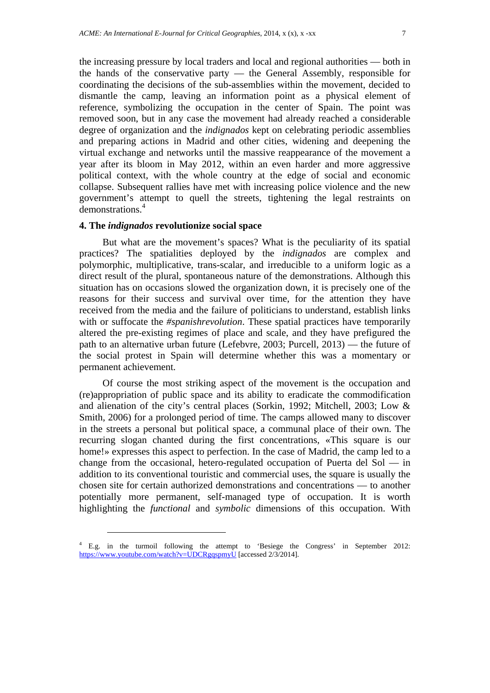the increasing pressure by local traders and local and regional authorities — both in the hands of the conservative party — the General Assembly, responsible for coordinating the decisions of the sub-assemblies within the movement, decided to dismantle the camp, leaving an information point as a physical element of reference, symbolizing the occupation in the center of Spain. The point was removed soon, but in any case the movement had already reached a considerable degree of organization and the *indignados* kept on celebrating periodic assemblies and preparing actions in Madrid and other cities, widening and deepening the virtual exchange and networks until the massive reappearance of the movement a year after its bloom in May 2012, within an even harder and more aggressive political context, with the whole country at the edge of social and economic collapse. Subsequent rallies have met with increasing police violence and the new government's attempt to quell the streets, tightening the legal restraints on demonstrations.4

#### **4. The** *indignados* **revolutionize social space**

 $\overline{a}$ 

But what are the movement's spaces? What is the peculiarity of its spatial practices? The spatialities deployed by the *indignados* are complex and polymorphic, multiplicative, trans-scalar, and irreducible to a uniform logic as a direct result of the plural, spontaneous nature of the demonstrations. Although this situation has on occasions slowed the organization down, it is precisely one of the reasons for their success and survival over time, for the attention they have received from the media and the failure of politicians to understand, establish links with or suffocate the *#spanishrevolution*. These spatial practices have temporarily altered the pre-existing regimes of place and scale, and they have prefigured the path to an alternative urban future (Lefebvre, 2003; Purcell, 2013) — the future of the social protest in Spain will determine whether this was a momentary or permanent achievement.

Of course the most striking aspect of the movement is the occupation and (re)appropriation of public space and its ability to eradicate the commodification and alienation of the city's central places (Sorkin, 1992; Mitchell, 2003; Low & Smith, 2006) for a prolonged period of time. The camps allowed many to discover in the streets a personal but political space, a communal place of their own. The recurring slogan chanted during the first concentrations, «This square is our home!» expresses this aspect to perfection. In the case of Madrid, the camp led to a change from the occasional, hetero-regulated occupation of Puerta del Sol — in addition to its conventional touristic and commercial uses, the square is usually the chosen site for certain authorized demonstrations and concentrations — to another potentially more permanent, self-managed type of occupation. It is worth highlighting the *functional* and *symbolic* dimensions of this occupation. With

<sup>4</sup> E.g. in the turmoil following the attempt to 'Besiege the Congress' in September 2012: https://www.youtube.com/watch?v=UDCRgqspmyU [accessed 2/3/2014].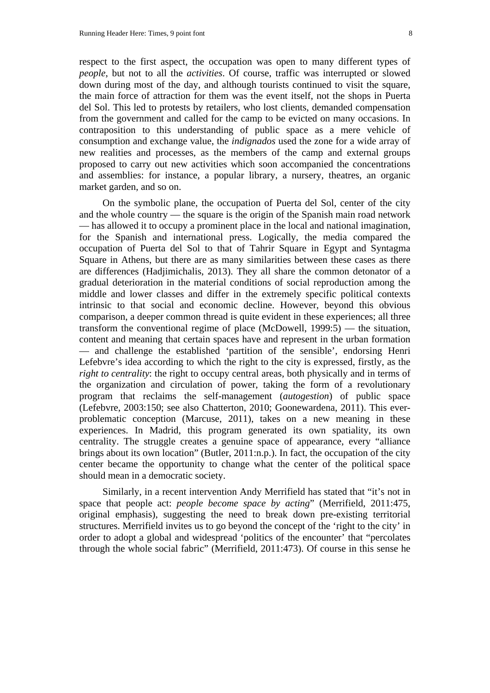respect to the first aspect, the occupation was open to many different types of *people*, but not to all the *activities*. Of course, traffic was interrupted or slowed down during most of the day, and although tourists continued to visit the square, the main force of attraction for them was the event itself, not the shops in Puerta del Sol. This led to protests by retailers, who lost clients, demanded compensation from the government and called for the camp to be evicted on many occasions. In contraposition to this understanding of public space as a mere vehicle of consumption and exchange value, the *indignados* used the zone for a wide array of new realities and processes, as the members of the camp and external groups proposed to carry out new activities which soon accompanied the concentrations and assemblies: for instance, a popular library, a nursery, theatres, an organic market garden, and so on.

On the symbolic plane, the occupation of Puerta del Sol, center of the city and the whole country — the square is the origin of the Spanish main road network — has allowed it to occupy a prominent place in the local and national imagination, for the Spanish and international press. Logically, the media compared the occupation of Puerta del Sol to that of Tahrir Square in Egypt and Syntagma Square in Athens, but there are as many similarities between these cases as there are differences (Hadjimichalis, 2013). They all share the common detonator of a gradual deterioration in the material conditions of social reproduction among the middle and lower classes and differ in the extremely specific political contexts intrinsic to that social and economic decline. However, beyond this obvious comparison, a deeper common thread is quite evident in these experiences; all three transform the conventional regime of place (McDowell, 1999:5) — the situation, content and meaning that certain spaces have and represent in the urban formation — and challenge the established 'partition of the sensible', endorsing Henri Lefebvre's idea according to which the right to the city is expressed, firstly, as the *right to centrality*: the right to occupy central areas, both physically and in terms of the organization and circulation of power, taking the form of a revolutionary program that reclaims the self-management (*autogestion*) of public space (Lefebvre, 2003:150; see also Chatterton, 2010; Goonewardena, 2011). This everproblematic conception (Marcuse, 2011), takes on a new meaning in these experiences. In Madrid, this program generated its own spatiality, its own centrality. The struggle creates a genuine space of appearance, every "alliance brings about its own location" (Butler, 2011:n.p.). In fact, the occupation of the city center became the opportunity to change what the center of the political space should mean in a democratic society.

Similarly, in a recent intervention Andy Merrifield has stated that "it's not in space that people act: *people become space by acting*" (Merrifield, 2011:475, original emphasis), suggesting the need to break down pre-existing territorial structures. Merrifield invites us to go beyond the concept of the 'right to the city' in order to adopt a global and widespread 'politics of the encounter' that "percolates through the whole social fabric" (Merrifield, 2011:473). Of course in this sense he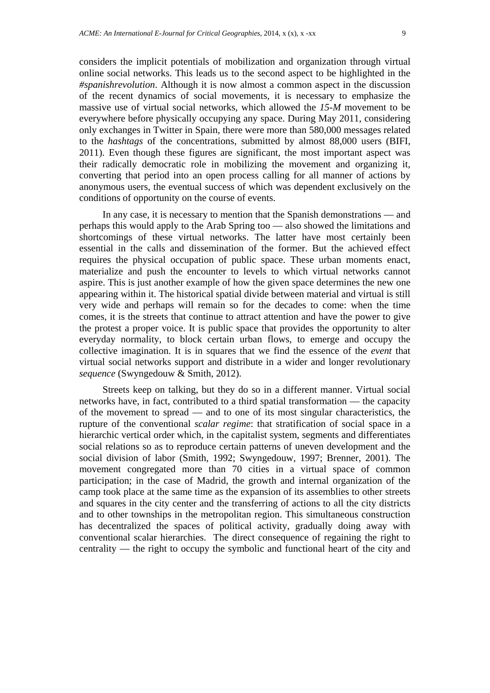considers the implicit potentials of mobilization and organization through virtual online social networks. This leads us to the second aspect to be highlighted in the *#spanishrevolution*. Although it is now almost a common aspect in the discussion of the recent dynamics of social movements, it is necessary to emphasize the massive use of virtual social networks, which allowed the *15-M* movement to be everywhere before physically occupying any space. During May 2011, considering only exchanges in Twitter in Spain, there were more than 580,000 messages related to the *hashtags* of the concentrations, submitted by almost 88,000 users (BIFI, 2011). Even though these figures are significant, the most important aspect was their radically democratic role in mobilizing the movement and organizing it, converting that period into an open process calling for all manner of actions by anonymous users, the eventual success of which was dependent exclusively on the conditions of opportunity on the course of events.

In any case, it is necessary to mention that the Spanish demonstrations — and perhaps this would apply to the Arab Spring too — also showed the limitations and shortcomings of these virtual networks. The latter have most certainly been essential in the calls and dissemination of the former. But the achieved effect requires the physical occupation of public space. These urban moments enact, materialize and push the encounter to levels to which virtual networks cannot aspire. This is just another example of how the given space determines the new one appearing within it. The historical spatial divide between material and virtual is still very wide and perhaps will remain so for the decades to come: when the time comes, it is the streets that continue to attract attention and have the power to give the protest a proper voice. It is public space that provides the opportunity to alter everyday normality, to block certain urban flows, to emerge and occupy the collective imagination. It is in squares that we find the essence of the *event* that virtual social networks support and distribute in a wider and longer revolutionary *sequence* (Swyngedouw & Smith, 2012).

Streets keep on talking, but they do so in a different manner. Virtual social networks have, in fact, contributed to a third spatial transformation — the capacity of the movement to spread — and to one of its most singular characteristics, the rupture of the conventional *scalar regime*: that stratification of social space in a hierarchic vertical order which, in the capitalist system, segments and differentiates social relations so as to reproduce certain patterns of uneven development and the social division of labor (Smith, 1992; Swyngedouw, 1997; Brenner, 2001). The movement congregated more than 70 cities in a virtual space of common participation; in the case of Madrid, the growth and internal organization of the camp took place at the same time as the expansion of its assemblies to other streets and squares in the city center and the transferring of actions to all the city districts and to other townships in the metropolitan region. This simultaneous construction has decentralized the spaces of political activity, gradually doing away with conventional scalar hierarchies. The direct consequence of regaining the right to centrality — the right to occupy the symbolic and functional heart of the city and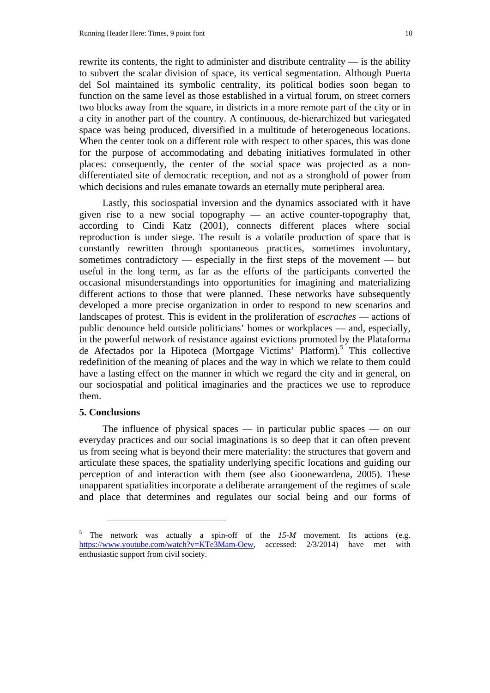rewrite its contents, the right to administer and distribute centrality — is the ability to subvert the scalar division of space, its vertical segmentation. Although Puerta del Sol maintained its symbolic centrality, its political bodies soon began to function on the same level as those established in a virtual forum, on street corners two blocks away from the square, in districts in a more remote part of the city or in a city in another part of the country. A continuous, de-hierarchized but variegated space was being produced, diversified in a multitude of heterogeneous locations. When the center took on a different role with respect to other spaces, this was done for the purpose of accommodating and debating initiatives formulated in other places: consequently, the center of the social space was projected as a nondifferentiated site of democratic reception, and not as a stronghold of power from which decisions and rules emanate towards an eternally mute peripheral area.

Lastly, this sociospatial inversion and the dynamics associated with it have given rise to a new social topography — an active counter-topography that, according to Cindi Katz (2001), connects different places where social reproduction is under siege. The result is a volatile production of space that is constantly rewritten through spontaneous practices, sometimes involuntary, sometimes contradictory — especially in the first steps of the movement — but useful in the long term, as far as the efforts of the participants converted the occasional misunderstandings into opportunities for imagining and materializing different actions to those that were planned. These networks have subsequently developed a more precise organization in order to respond to new scenarios and landscapes of protest. This is evident in the proliferation of *escraches* — actions of public denounce held outside politicians' homes or workplaces — and, especially, in the powerful network of resistance against evictions promoted by the Plataforma de Afectados por la Hipoteca (Mortgage Victims' Platform).<sup>5</sup> This collective redefinition of the meaning of places and the way in which we relate to them could have a lasting effect on the manner in which we regard the city and in general, on our sociospatial and political imaginaries and the practices we use to reproduce them.

#### **5. Conclusions**

 $\overline{a}$ 

The influence of physical spaces — in particular public spaces — on our everyday practices and our social imaginations is so deep that it can often prevent us from seeing what is beyond their mere materiality: the structures that govern and articulate these spaces, the spatiality underlying specific locations and guiding our perception of and interaction with them (see also Goonewardena, 2005). These unapparent spatialities incorporate a deliberate arrangement of the regimes of scale and place that determines and regulates our social being and our forms of

<sup>5</sup> The network was actually a spin-off of the *15-M* movement. Its actions (e.g. https://www.youtube.com/watch?v=KTe3Mam-Oew, accessed: 2/3/2014) have met with enthusiastic support from civil society.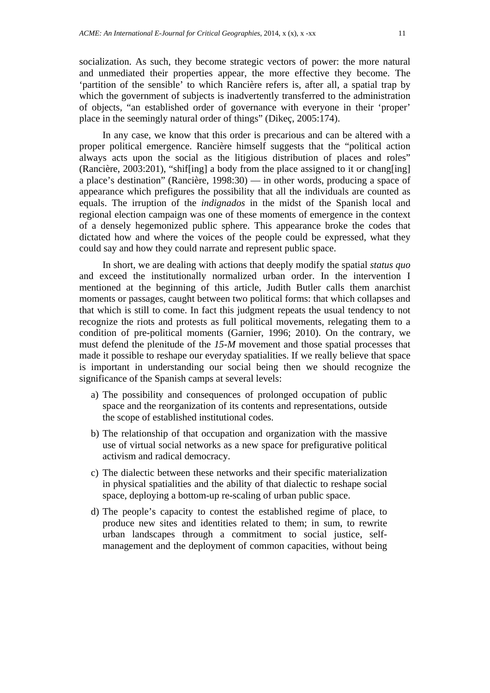socialization. As such, they become strategic vectors of power: the more natural and unmediated their properties appear, the more effective they become. The 'partition of the sensible' to which Rancière refers is, after all, a spatial trap by which the government of subjects is inadvertently transferred to the administration of objects, "an established order of governance with everyone in their 'proper' place in the seemingly natural order of things" (Dikeç, 2005:174).

In any case, we know that this order is precarious and can be altered with a proper political emergence. Rancière himself suggests that the "political action always acts upon the social as the litigious distribution of places and roles" (Rancière, 2003:201), "shif[ing] a body from the place assigned to it or chang[ing] a place's destination" (Rancière, 1998:30) — in other words, producing a space of appearance which prefigures the possibility that all the individuals are counted as equals. The irruption of the *indignados* in the midst of the Spanish local and regional election campaign was one of these moments of emergence in the context of a densely hegemonized public sphere. This appearance broke the codes that dictated how and where the voices of the people could be expressed, what they could say and how they could narrate and represent public space.

In short, we are dealing with actions that deeply modify the spatial *status quo* and exceed the institutionally normalized urban order. In the intervention I mentioned at the beginning of this article, Judith Butler calls them anarchist moments or passages, caught between two political forms: that which collapses and that which is still to come. In fact this judgment repeats the usual tendency to not recognize the riots and protests as full political movements, relegating them to a condition of pre-political moments (Garnier, 1996; 2010). On the contrary, we must defend the plenitude of the *15-M* movement and those spatial processes that made it possible to reshape our everyday spatialities. If we really believe that space is important in understanding our social being then we should recognize the significance of the Spanish camps at several levels:

- a) The possibility and consequences of prolonged occupation of public space and the reorganization of its contents and representations, outside the scope of established institutional codes.
- b) The relationship of that occupation and organization with the massive use of virtual social networks as a new space for prefigurative political activism and radical democracy.
- c) The dialectic between these networks and their specific materialization in physical spatialities and the ability of that dialectic to reshape social space, deploying a bottom-up re-scaling of urban public space.
- d) The people's capacity to contest the established regime of place, to produce new sites and identities related to them; in sum, to rewrite urban landscapes through a commitment to social justice, selfmanagement and the deployment of common capacities, without being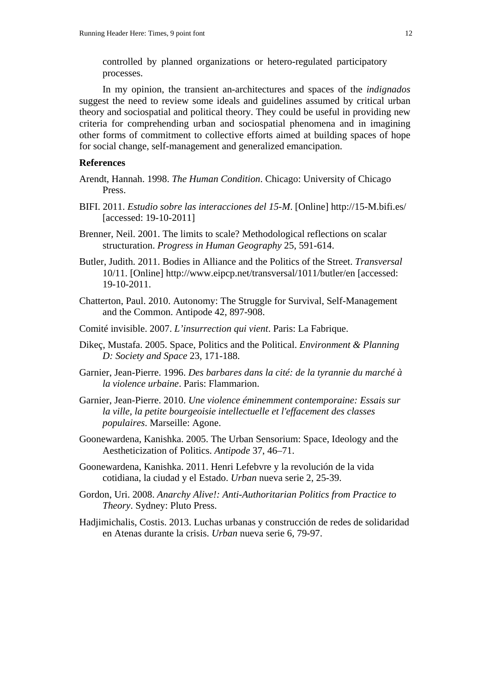controlled by planned organizations or hetero-regulated participatory processes.

In my opinion, the transient an-architectures and spaces of the *indignados* suggest the need to review some ideals and guidelines assumed by critical urban theory and sociospatial and political theory. They could be useful in providing new criteria for comprehending urban and sociospatial phenomena and in imagining other forms of commitment to collective efforts aimed at building spaces of hope for social change, self-management and generalized emancipation.

#### **References**

- Arendt, Hannah. 1998. *The Human Condition*. Chicago: University of Chicago Press.
- BIFI. 2011. *Estudio sobre las interacciones del 15-M*. [Online] http://15-M.bifi.es/ [accessed: 19-10-2011]
- Brenner, Neil. 2001. The limits to scale? Methodological reflections on scalar structuration. *Progress in Human Geography* 25, 591-614.
- Butler, Judith. 2011. Bodies in Alliance and the Politics of the Street. *Transversal* 10/11. [Online] http://www.eipcp.net/transversal/1011/butler/en [accessed: 19-10-2011.
- Chatterton, Paul. 2010. Autonomy: The Struggle for Survival, Self-Management and the Common. Antipode 42, 897-908.
- Comité invisible. 2007. *L'insurrection qui vient*. Paris: La Fabrique.
- Dikeç, Mustafa. 2005. Space, Politics and the Political. *Environment & Planning D: Society and Space* 23, 171-188.
- Garnier, Jean-Pierre. 1996. *Des barbares dans la cité: de la tyrannie du marché à la violence urbaine*. Paris: Flammarion.
- Garnier, Jean-Pierre. 2010. *Une violence éminemment contemporaine: Essais sur la ville, la petite bourgeoisie intellectuelle et l'effacement des classes populaires*. Marseille: Agone.
- Goonewardena, Kanishka. 2005. The Urban Sensorium: Space, Ideology and the Aestheticization of Politics. *Antipode* 37, 46–71.
- Goonewardena, Kanishka. 2011. Henri Lefebvre y la revolución de la vida cotidiana, la ciudad y el Estado. *Urban* nueva serie 2, 25-39.
- Gordon, Uri. 2008. *Anarchy Alive!: Anti-Authoritarian Politics from Practice to Theory*. Sydney: Pluto Press.
- Hadjimichalis, Costis. 2013. Luchas urbanas y construcción de redes de solidaridad en Atenas durante la crisis. *Urban* nueva serie 6, 79-97.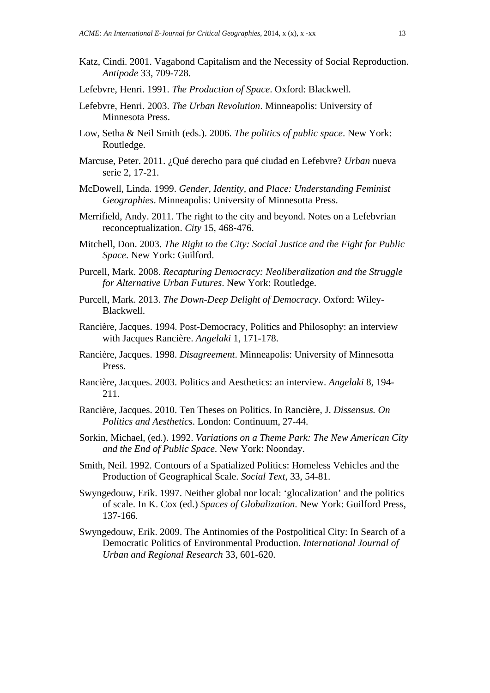- Katz, Cindi. 2001. Vagabond Capitalism and the Necessity of Social Reproduction. *Antipode* 33, 709-728.
- Lefebvre, Henri. 1991. *The Production of Space*. Oxford: Blackwell.
- Lefebvre, Henri. 2003. *The Urban Revolution*. Minneapolis: University of Minnesota Press.
- Low, Setha & Neil Smith (eds.). 2006. *The politics of public space*. New York: Routledge.
- Marcuse, Peter. 2011. ¿Qué derecho para qué ciudad en Lefebvre? *Urban* nueva serie 2, 17-21.
- McDowell, Linda. 1999. *Gender, Identity, and Place: Understanding Feminist Geographies*. Minneapolis: University of Minnesotta Press.
- Merrifield, Andy. 2011. The right to the city and beyond. Notes on a Lefebvrian reconceptualization. *City* 15, 468-476.
- Mitchell, Don. 2003. *The Right to the City: Social Justice and the Fight for Public Space*. New York: Guilford.
- Purcell, Mark. 2008. *Recapturing Democracy: Neoliberalization and the Struggle for Alternative Urban Futures*. New York: Routledge.
- Purcell, Mark. 2013. *The Down-Deep Delight of Democracy*. Oxford: Wiley-Blackwell.
- Rancière, Jacques. 1994. Post-Democracy, Politics and Philosophy: an interview with Jacques Rancière. *Angelaki* 1, 171-178.
- Rancière, Jacques. 1998. *Disagreement*. Minneapolis: University of Minnesotta Press.
- Rancière, Jacques. 2003. Politics and Aesthetics: an interview. *Angelaki* 8, 194- 211.
- Rancière, Jacques. 2010. Ten Theses on Politics. In Rancière, J. *Dissensus. On Politics and Aesthetics*. London: Continuum, 27-44.
- Sorkin, Michael, (ed.). 1992. *Variations on a Theme Park: The New American City and the End of Public Space*. New York: Noonday.
- Smith, Neil. 1992. Contours of a Spatialized Politics: Homeless Vehicles and the Production of Geographical Scale. *Social Text*, 33, 54-81.
- Swyngedouw, Erik. 1997. Neither global nor local: 'glocalization' and the politics of scale. In K. Cox (ed.) *Spaces of Globalization*. New York: Guilford Press, 137-166.
- Swyngedouw, Erik. 2009. The Antinomies of the Postpolitical City: In Search of a Democratic Politics of Environmental Production. *International Journal of Urban and Regional Research* 33, 601-620.